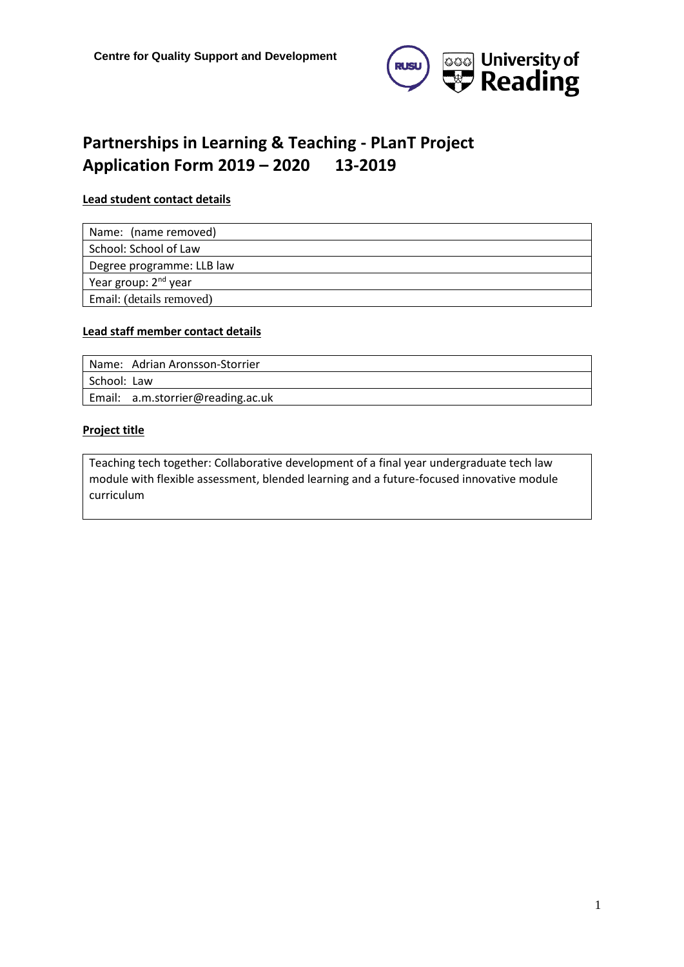

# **Partnerships in Learning & Teaching - PLanT Project Application Form 2019 – 2020 13-2019**

#### **Lead student contact details**

| Name: (name removed)             |
|----------------------------------|
| School: School of Law            |
| Degree programme: LLB law        |
| Year group: 2 <sup>nd</sup> year |
| Email: (details removed)         |

#### **Lead staff member contact details**

| l Name: Adrian Aronsson-Storrier  |
|-----------------------------------|
| l School: Law                     |
| Email: a.m.storrier@reading.ac.uk |

#### **Project title**

Teaching tech together: Collaborative development of a final year undergraduate tech law module with flexible assessment, blended learning and a future-focused innovative module curriculum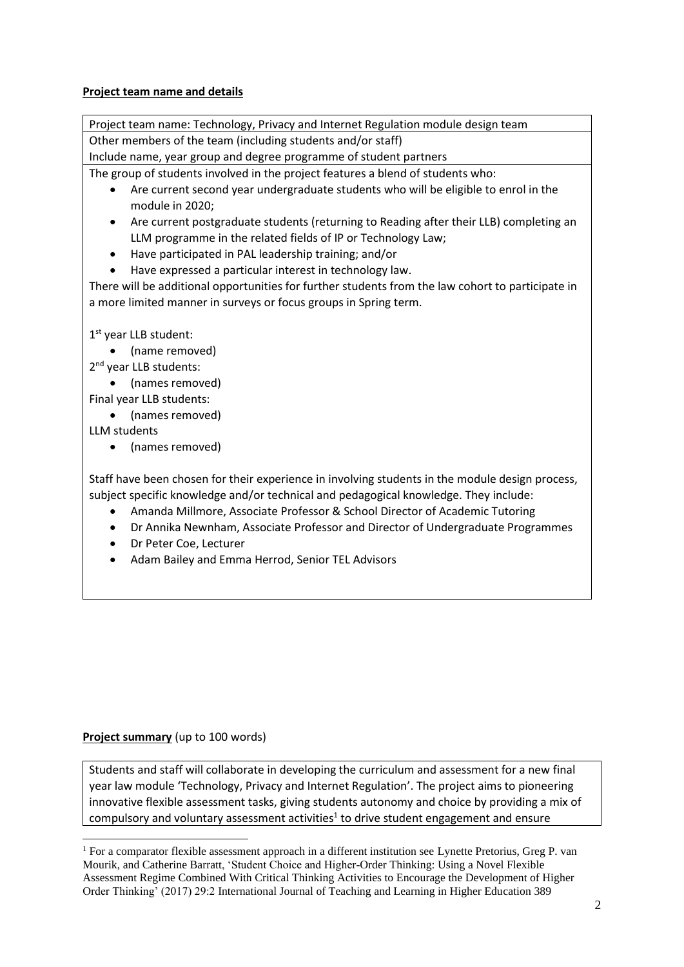# **Project team name and details**

Project team name: Technology, Privacy and Internet Regulation module design team Other members of the team (including students and/or staff)

Include name, year group and degree programme of student partners

The group of students involved in the project features a blend of students who:

- Are current second year undergraduate students who will be eligible to enrol in the module in 2020;
- Are current postgraduate students (returning to Reading after their LLB) completing an LLM programme in the related fields of IP or Technology Law;
- Have participated in PAL leadership training; and/or
- Have expressed a particular interest in technology law.

There will be additional opportunities for further students from the law cohort to participate in a more limited manner in surveys or focus groups in Spring term.

1 st year LLB student:

• (name removed)

2<sup>nd</sup> year LLB students:

• (names removed)

Final year LLB students:

• (names removed)

LLM students

• (names removed)

Staff have been chosen for their experience in involving students in the module design process, subject specific knowledge and/or technical and pedagogical knowledge. They include:

- Amanda Millmore, Associate Professor & School Director of Academic Tutoring
- Dr Annika Newnham, Associate Professor and Director of Undergraduate Programmes
- Dr Peter Coe, Lecturer
- Adam Bailey and Emma Herrod, Senior TEL Advisors

# **Project summary** (up to 100 words)

Students and staff will collaborate in developing the curriculum and assessment for a new final year law module 'Technology, Privacy and Internet Regulation'. The project aims to pioneering innovative flexible assessment tasks, giving students autonomy and choice by providing a mix of compulsory and voluntary assessment activities<sup>1</sup> to drive student engagement and ensure

<sup>1</sup> For a comparator flexible assessment approach in a different institution see Lynette Pretorius, Greg P. van Mourik, and Catherine Barratt, 'Student Choice and Higher-Order Thinking: Using a Novel Flexible Assessment Regime Combined With Critical Thinking Activities to Encourage the Development of Higher Order Thinking' (2017) 29:2 International Journal of Teaching and Learning in Higher Education 389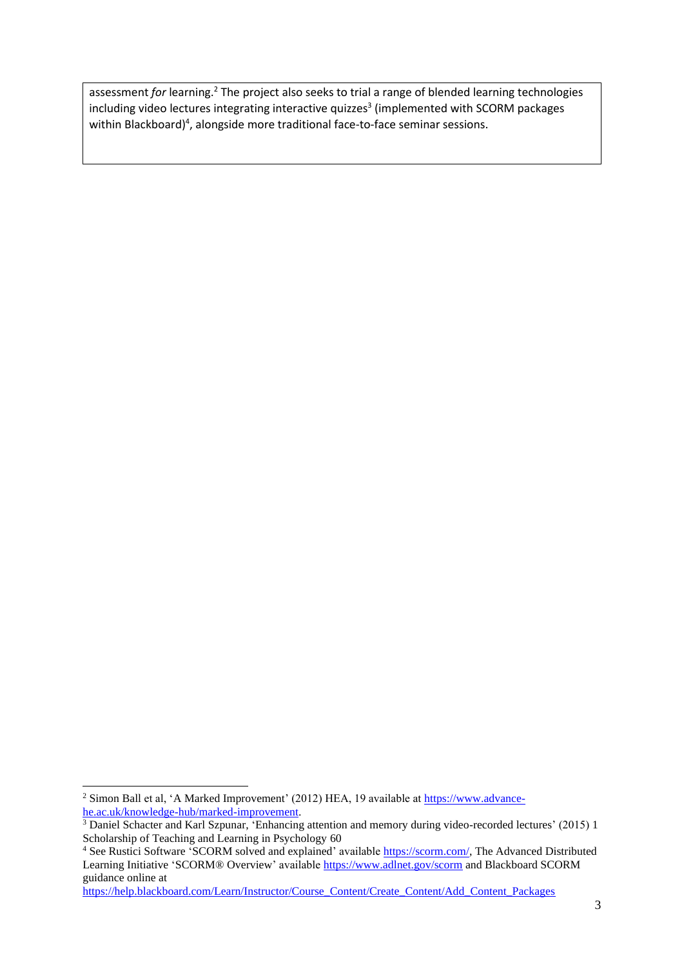assessment for learning.<sup>2</sup> The project also seeks to trial a range of blended learning technologies including video lectures integrating interactive quizzes<sup>3</sup> (implemented with SCORM packages within Blackboard)<sup>4</sup>, alongside more traditional face-to-face seminar sessions.

<sup>&</sup>lt;sup>2</sup> Simon Ball et al, 'A Marked Improvement' (2012) HEA, 19 available at [https://www.advance](https://www.advance-he.ac.uk/knowledge-hub/marked-improvement)[he.ac.uk/knowledge-hub/marked-improvement.](https://www.advance-he.ac.uk/knowledge-hub/marked-improvement)

<sup>&</sup>lt;sup>3</sup> Daniel Schacter and Karl Szpunar, 'Enhancing attention and memory during video-recorded lectures' (2015) 1 Scholarship of Teaching and Learning in Psychology 60

<sup>&</sup>lt;sup>4</sup> See Rustici Software 'SCORM solved and explained' available [https://scorm.com/,](https://scorm.com/) The Advanced Distributed Learning Initiative 'SCORM® Overview' availabl[e https://www.adlnet.gov/scorm](https://www.adlnet.gov/scorm) and Blackboard SCORM guidance online at

[https://help.blackboard.com/Learn/Instructor/Course\\_Content/Create\\_Content/Add\\_Content\\_Packages](https://help.blackboard.com/Learn/Instructor/Course_Content/Create_Content/Add_Content_Packages)\_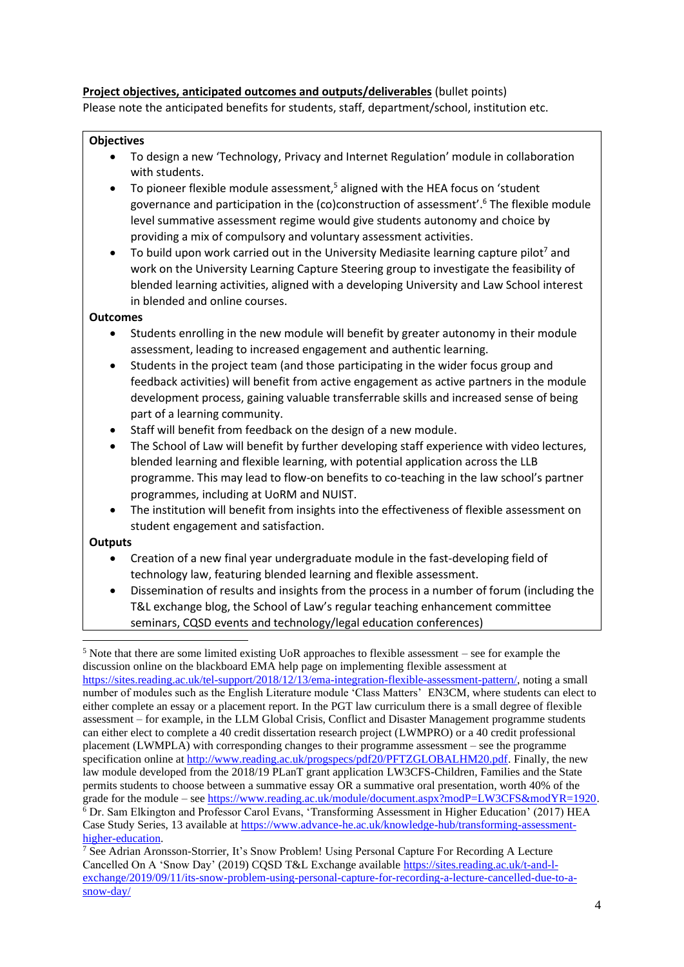#### **Project objectives, anticipated outcomes and outputs/deliverables** (bullet points)

Please note the anticipated benefits for students, staff, department/school, institution etc.

#### **Objectives**

- To design a new 'Technology, Privacy and Internet Regulation' module in collaboration with students.
- To pioneer flexible module assessment,<sup>5</sup> aligned with the HEA focus on 'student governance and participation in the (co)construction of assessment'. <sup>6</sup> The flexible module level summative assessment regime would give students autonomy and choice by providing a mix of compulsory and voluntary assessment activities.
- To build upon work carried out in the University Mediasite learning capture pilot<sup>7</sup> and work on the University Learning Capture Steering group to investigate the feasibility of blended learning activities, aligned with a developing University and Law School interest in blended and online courses.

#### **Outcomes**

- Students enrolling in the new module will benefit by greater autonomy in their module assessment, leading to increased engagement and authentic learning.
- Students in the project team (and those participating in the wider focus group and feedback activities) will benefit from active engagement as active partners in the module development process, gaining valuable transferrable skills and increased sense of being part of a learning community.
- Staff will benefit from feedback on the design of a new module.
- The School of Law will benefit by further developing staff experience with video lectures, blended learning and flexible learning, with potential application across the LLB programme. This may lead to flow-on benefits to co-teaching in the law school's partner programmes, including at UoRM and NUIST.
- The institution will benefit from insights into the effectiveness of flexible assessment on student engagement and satisfaction.

# **Outputs**

- Creation of a new final year undergraduate module in the fast-developing field of technology law, featuring blended learning and flexible assessment.
- Dissemination of results and insights from the process in a number of forum (including the T&L exchange blog, the School of Law's regular teaching enhancement committee seminars, CQSD events and technology/legal education conferences)

<sup>5</sup> Note that there are some limited existing UoR approaches to flexible assessment – see for example the discussion online on the blackboard EMA help page on implementing flexible assessment at [https://sites.reading.ac.uk/tel-support/2018/12/13/ema-integration-flexible-assessment-pattern/,](https://sites.reading.ac.uk/tel-support/2018/12/13/ema-integration-flexible-assessment-pattern/) noting a small number of modules such as the English Literature module 'Class Matters' EN3CM, where students can elect to either complete an essay or a placement report. In the PGT law curriculum there is a small degree of flexible assessment – for example, in the LLM Global Crisis, Conflict and Disaster Management programme students can either elect to complete a 40 credit dissertation research project (LWMPRO) or a 40 credit professional placement (LWMPLA) with corresponding changes to their programme assessment – see the programme specification online at [http://www.reading.ac.uk/progspecs/pdf20/PFTZGLOBALHM20.pdf.](http://www.reading.ac.uk/progspecs/pdf20/PFTZGLOBALHM20.pdf) Finally, the new law module developed from the 2018/19 PLanT grant application LW3CFS-Children, Families and the State permits students to choose between a summative essay OR a summative oral presentation, worth 40% of the grade for the module – see [https://www.reading.ac.uk/module/document.aspx?modP=LW3CFS&modYR=1920.](https://www.reading.ac.uk/module/document.aspx?modP=LW3CFS&modYR=1920)  $\overline{6}$  Dr. Sam Elkington and Professor Carol Evans, 'Transforming Assessment in Higher Education' (2017) HEA Case Study Series, 13 available at [https://www.advance-he.ac.uk/knowledge-hub/transforming-assessment](https://www.advance-he.ac.uk/knowledge-hub/transforming-assessment-higher-education)[higher-education.](https://www.advance-he.ac.uk/knowledge-hub/transforming-assessment-higher-education)

<sup>7</sup> See Adrian Aronsson-Storrier, It's Snow Problem! Using Personal Capture For Recording A Lecture Cancelled On A 'Snow Day' (2019) CQSD T&L Exchange available [https://sites.reading.ac.uk/t-and-l](https://sites.reading.ac.uk/t-and-l-exchange/2019/09/11/its-snow-problem-using-personal-capture-for-recording-a-lecture-cancelled-due-to-a-snow-day/)[exchange/2019/09/11/its-snow-problem-using-personal-capture-for-recording-a-lecture-cancelled-due-to-a](https://sites.reading.ac.uk/t-and-l-exchange/2019/09/11/its-snow-problem-using-personal-capture-for-recording-a-lecture-cancelled-due-to-a-snow-day/)[snow-day/](https://sites.reading.ac.uk/t-and-l-exchange/2019/09/11/its-snow-problem-using-personal-capture-for-recording-a-lecture-cancelled-due-to-a-snow-day/)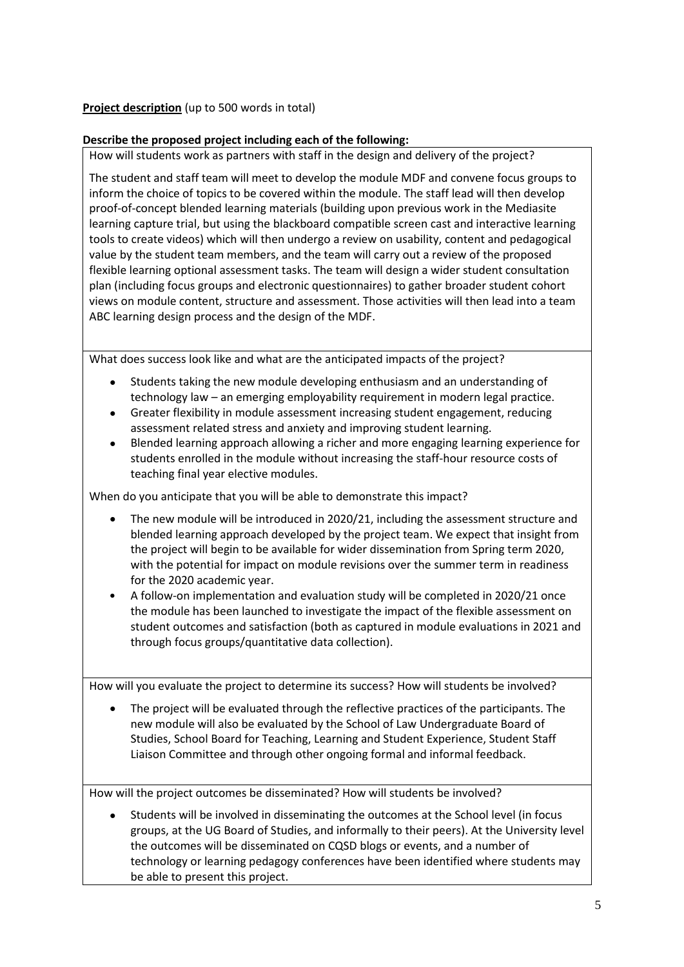# **Project description** (up to 500 words in total)

# **Describe the proposed project including each of the following:**

How will students work as partners with staff in the design and delivery of the project?

The student and staff team will meet to develop the module MDF and convene focus groups to inform the choice of topics to be covered within the module. The staff lead will then develop proof-of-concept blended learning materials (building upon previous work in the Mediasite learning capture trial, but using the blackboard compatible screen cast and interactive learning tools to create videos) which will then undergo a review on usability, content and pedagogical value by the student team members, and the team will carry out a review of the proposed flexible learning optional assessment tasks. The team will design a wider student consultation plan (including focus groups and electronic questionnaires) to gather broader student cohort views on module content, structure and assessment. Those activities will then lead into a team ABC learning design process and the design of the MDF.

What does success look like and what are the anticipated impacts of the project?

- Students taking the new module developing enthusiasm and an understanding of technology law – an emerging employability requirement in modern legal practice.
- Greater flexibility in module assessment increasing student engagement, reducing assessment related stress and anxiety and improving student learning.
- Blended learning approach allowing a richer and more engaging learning experience for students enrolled in the module without increasing the staff-hour resource costs of teaching final year elective modules.

When do you anticipate that you will be able to demonstrate this impact?

- The new module will be introduced in 2020/21, including the assessment structure and blended learning approach developed by the project team. We expect that insight from the project will begin to be available for wider dissemination from Spring term 2020, with the potential for impact on module revisions over the summer term in readiness for the 2020 academic year.
- A follow-on implementation and evaluation study will be completed in 2020/21 once the module has been launched to investigate the impact of the flexible assessment on student outcomes and satisfaction (both as captured in module evaluations in 2021 and through focus groups/quantitative data collection).

How will you evaluate the project to determine its success? How will students be involved?

• The project will be evaluated through the reflective practices of the participants. The new module will also be evaluated by the School of Law Undergraduate Board of Studies, School Board for Teaching, Learning and Student Experience, Student Staff Liaison Committee and through other ongoing formal and informal feedback.

How will the project outcomes be disseminated? How will students be involved?

• Students will be involved in disseminating the outcomes at the School level (in focus groups, at the UG Board of Studies, and informally to their peers). At the University level the outcomes will be disseminated on CQSD blogs or events, and a number of technology or learning pedagogy conferences have been identified where students may be able to present this project.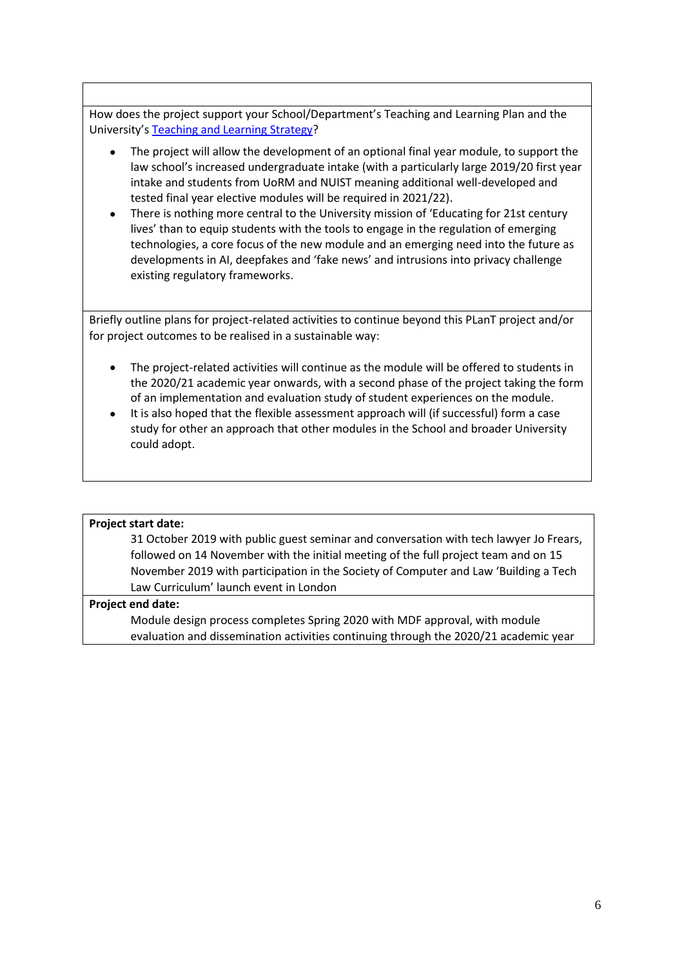How does the project support your School/Department's Teaching and Learning Plan and the University's [Teaching and Learning](https://www.reading.ac.uk/about/teaching-and-learning/t-and-l-strategy.aspx) Strategy?

- The project will allow the development of an optional final year module, to support the law school's increased undergraduate intake (with a particularly large 2019/20 first year intake and students from UoRM and NUIST meaning additional well-developed and tested final year elective modules will be required in 2021/22).
- There is nothing more central to the University mission of 'Educating for 21st century lives' than to equip students with the tools to engage in the regulation of emerging technologies, a core focus of the new module and an emerging need into the future as developments in AI, deepfakes and 'fake news' and intrusions into privacy challenge existing regulatory frameworks.

Briefly outline plans for project-related activities to continue beyond this PLanT project and/or for project outcomes to be realised in a sustainable way:

- The project-related activities will continue as the module will be offered to students in the 2020/21 academic year onwards, with a second phase of the project taking the form of an implementation and evaluation study of student experiences on the module.
- It is also hoped that the flexible assessment approach will (if successful) form a case study for other an approach that other modules in the School and broader University could adopt.

#### **Project start date:**

31 October 2019 with public guest seminar and conversation with tech lawyer Jo Frears, followed on 14 November with the initial meeting of the full project team and on 15 November 2019 with participation in the Society of Computer and Law 'Building a Tech Law Curriculum' launch event in London

#### **Project end date:**

Module design process completes Spring 2020 with MDF approval, with module evaluation and dissemination activities continuing through the 2020/21 academic year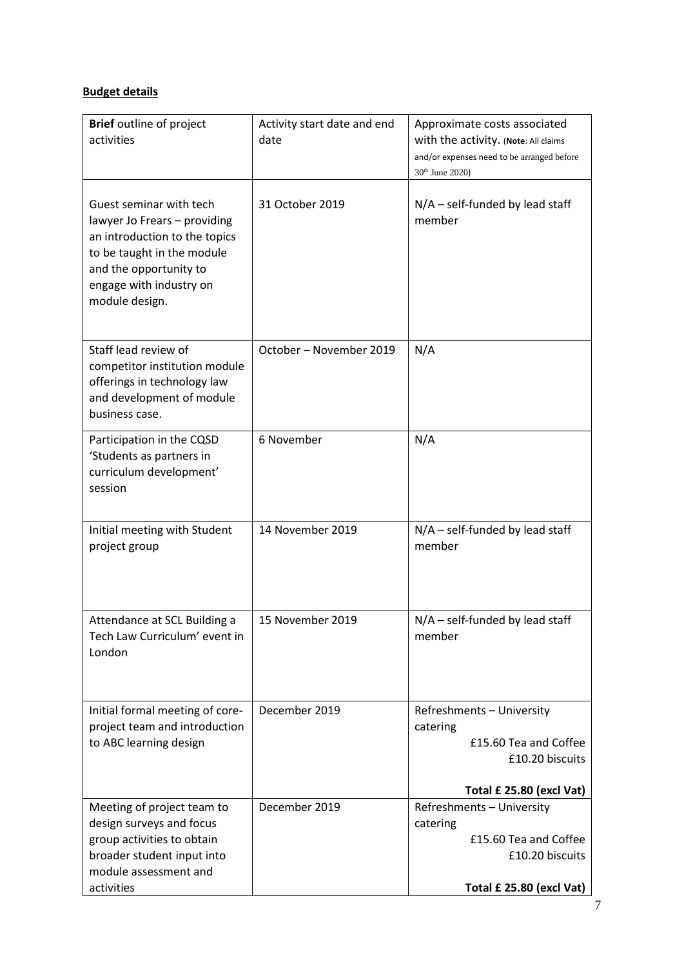# **Budget details**

| <b>Brief</b> outline of project<br>activities                                                                                                                                                 | Activity start date and end<br>date | Approximate costs associated<br>with the activity. (Note: All claims<br>and/or expenses need to be arranged before<br>30 <sup>th</sup> June 2020) |
|-----------------------------------------------------------------------------------------------------------------------------------------------------------------------------------------------|-------------------------------------|---------------------------------------------------------------------------------------------------------------------------------------------------|
| Guest seminar with tech<br>lawyer Jo Frears - providing<br>an introduction to the topics<br>to be taught in the module<br>and the opportunity to<br>engage with industry on<br>module design. | 31 October 2019                     | $N/A$ – self-funded by lead staff<br>member                                                                                                       |
| Staff lead review of<br>competitor institution module<br>offerings in technology law<br>and development of module<br>business case.                                                           | October - November 2019             | N/A                                                                                                                                               |
| Participation in the CQSD<br>'Students as partners in<br>curriculum development'<br>session                                                                                                   | 6 November                          | N/A                                                                                                                                               |
| Initial meeting with Student<br>project group                                                                                                                                                 | 14 November 2019                    | $N/A$ – self-funded by lead staff<br>member                                                                                                       |
| Attendance at SCL Building a<br>Tech Law Curriculum' event in<br>London                                                                                                                       | 15 November 2019                    | $N/A$ – self-funded by lead staff<br>member                                                                                                       |
| Initial formal meeting of core-<br>project team and introduction<br>to ABC learning design                                                                                                    | December 2019                       | Refreshments - University<br>catering<br>£15.60 Tea and Coffee<br>£10.20 biscuits<br>Total £ 25.80 (excl Vat)                                     |
| Meeting of project team to<br>design surveys and focus<br>group activities to obtain<br>broader student input into<br>module assessment and<br>activities                                     | December 2019                       | Refreshments - University<br>catering<br>£15.60 Tea and Coffee<br>£10.20 biscuits<br>Total £ 25.80 (excl Vat)                                     |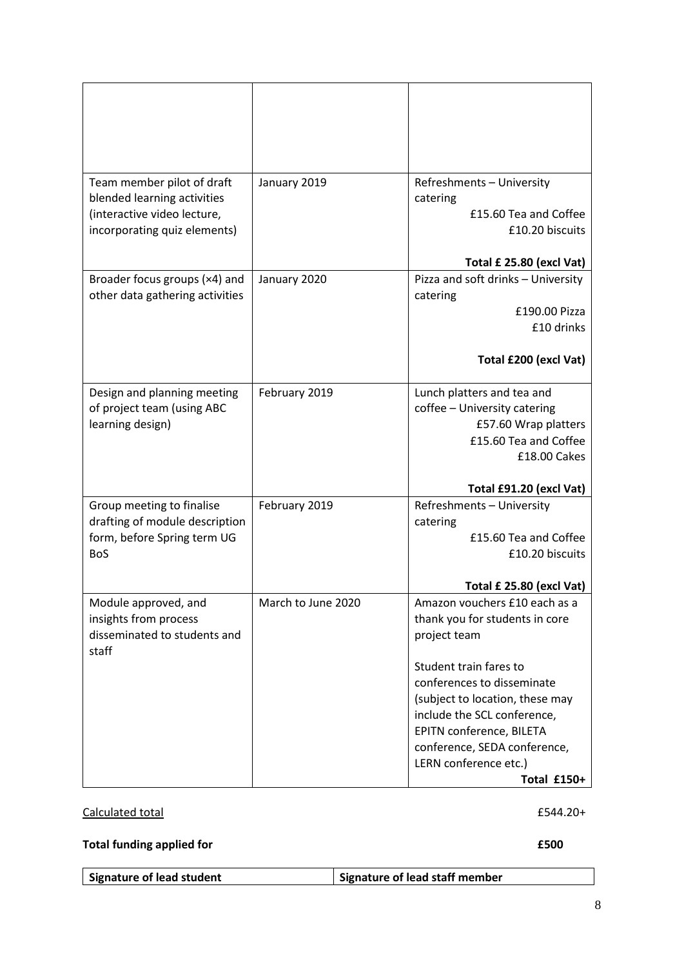| Team member pilot of draft<br>blended learning activities<br>(interactive video lecture,<br>incorporating quiz elements) | January 2019       | Refreshments - University<br>catering<br>£15.60 Tea and Coffee<br>£10.20 biscuits<br>Total £ 25.80 (excl Vat)                                                                                                                                                                                                 |
|--------------------------------------------------------------------------------------------------------------------------|--------------------|---------------------------------------------------------------------------------------------------------------------------------------------------------------------------------------------------------------------------------------------------------------------------------------------------------------|
| Broader focus groups (x4) and<br>other data gathering activities                                                         | January 2020       | Pizza and soft drinks - University<br>catering<br>£190.00 Pizza<br>£10 drinks<br>Total £200 (excl Vat)                                                                                                                                                                                                        |
| Design and planning meeting<br>of project team (using ABC<br>learning design)                                            | February 2019      | Lunch platters and tea and<br>coffee - University catering<br>£57.60 Wrap platters<br>£15.60 Tea and Coffee<br>£18.00 Cakes<br>Total £91.20 (excl Vat)                                                                                                                                                        |
| Group meeting to finalise<br>drafting of module description<br>form, before Spring term UG<br><b>BoS</b>                 | February 2019      | Refreshments - University<br>catering<br>£15.60 Tea and Coffee<br>£10.20 biscuits<br>Total £ 25.80 (excl Vat)                                                                                                                                                                                                 |
| Module approved, and<br>insights from process<br>disseminated to students and<br>staff                                   | March to June 2020 | Amazon vouchers £10 each as a<br>thank you for students in core<br>project team<br>Student train fares to<br>conferences to disseminate<br>(subject to location, these may<br>include the SCL conference,<br>EPITN conference, BILETA<br>conference, SEDA conference,<br>LERN conference etc.)<br>Total £150+ |

# Calculated total **E544.20+**

# **Total funding applied for E500**

| Signature of lead student | Signature of lead staff member |
|---------------------------|--------------------------------|
|---------------------------|--------------------------------|